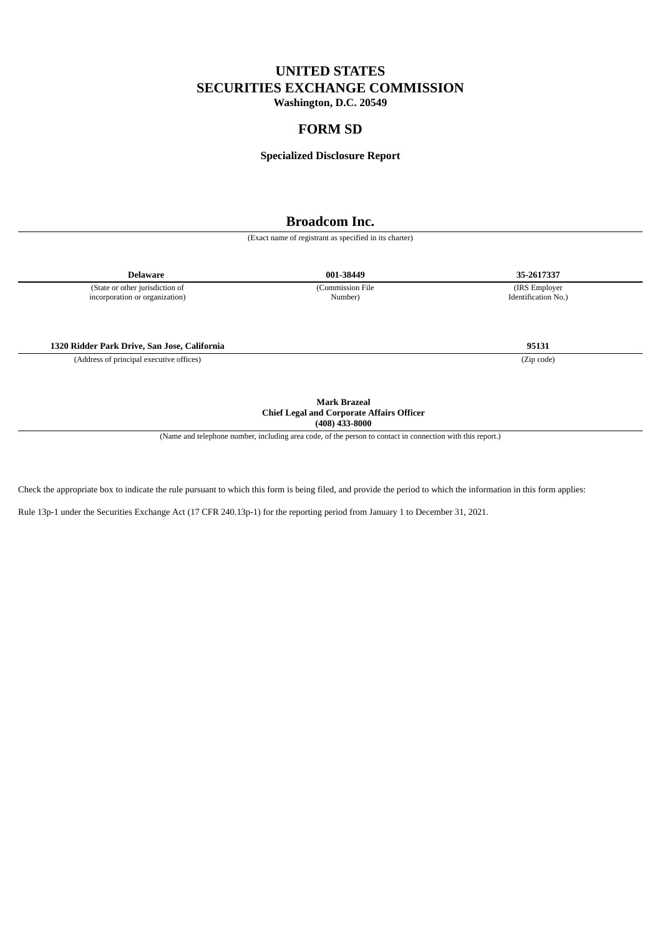# **UNITED STATES SECURITIES EXCHANGE COMMISSION**

**Washington, D.C. 20549**

# **FORM SD**

#### **Specialized Disclosure Report**

# **Broadcom Inc.**

(Exact name of registrant as specified in its charter)

**Delaware 001-38449 35-2617337**

(State or other jurisdiction of incorporation or organization) (Commission File Number)

**1320 Ridder Park Drive, San Jose, California 95131**

(Address of principal executive offices) (Zip code)

**Mark Brazeal Chief Legal and Corporate Affairs Officer (408) 433-8000**

(Name and telephone number, including area code, of the person to contact in connection with this report.)

Check the appropriate box to indicate the rule pursuant to which this form is being filed, and provide the period to which the information in this form applies:

Rule 13p-1 under the Securities Exchange Act (17 CFR 240.13p-1) for the reporting period from January 1 to December 31, 2021.

(IRS Employer Identification No.)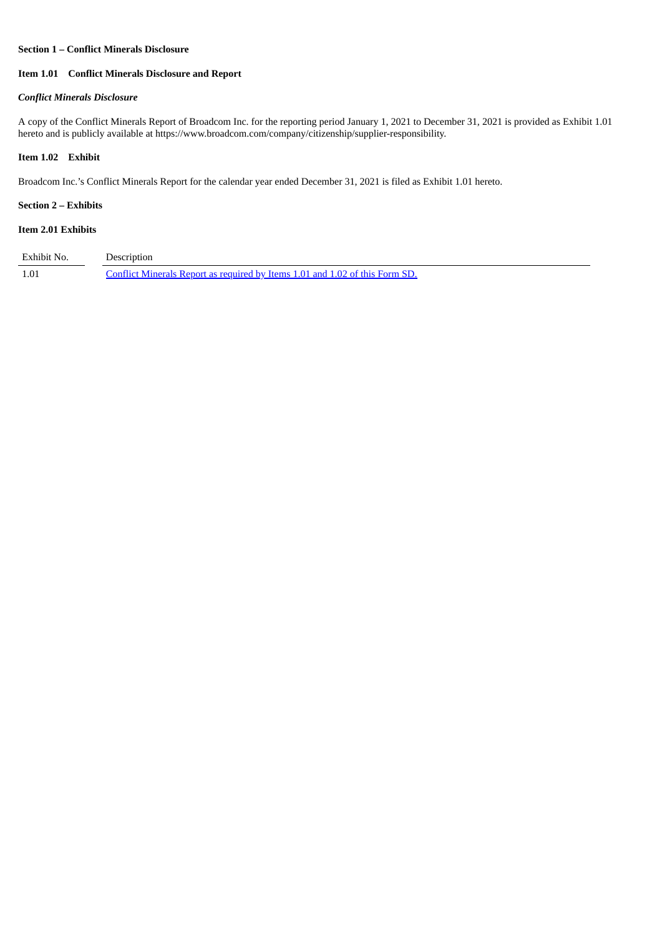#### **Section 1 – Conflict Minerals Disclosure**

# **Item 1.01 Conflict Minerals Disclosure and Report**

# *Conflict Minerals Disclosure*

A copy of the Conflict Minerals Report of Broadcom Inc. for the reporting period January 1, 2021 to December 31, 2021 is provided as Exhibit 1.01 hereto and is publicly available at https://www.broadcom.com/company/citizenship/supplier-responsibility.

# **Item 1.02 Exhibit**

Broadcom Inc.'s Conflict Minerals Report for the calendar year ended December 31, 2021 is filed as Exhibit 1.01 hereto.

# **Section 2 – Exhibits**

# **Item 2.01 Exhibits**

| Exhibit No. | Description                                                                  |
|-------------|------------------------------------------------------------------------------|
| 1.01        | Conflict Minerals Report as required by Items 1.01 and 1.02 of this Form SD. |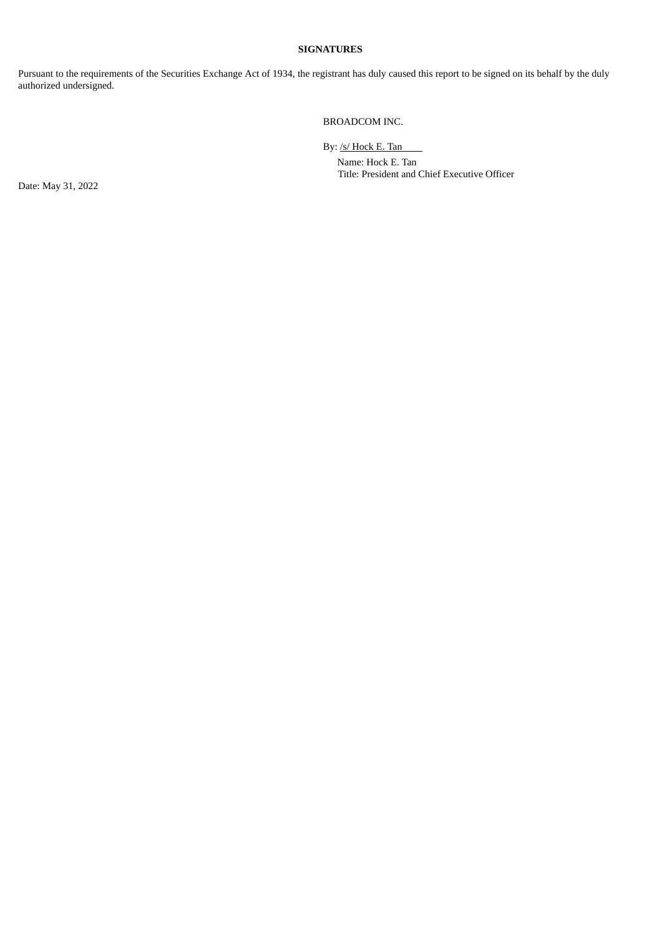### **SIGNATURES**

Pursuant to the requirements of the Securities Exchange Act of 1934, the registrant has duly caused this report to be signed on its behalf by the duly authorized undersigned.

### BROADCOM INC.

By: /s/ Hock E. Tan

Name: Hock E. Tan Title: President and Chief Executive Officer

Date: May 31, 2022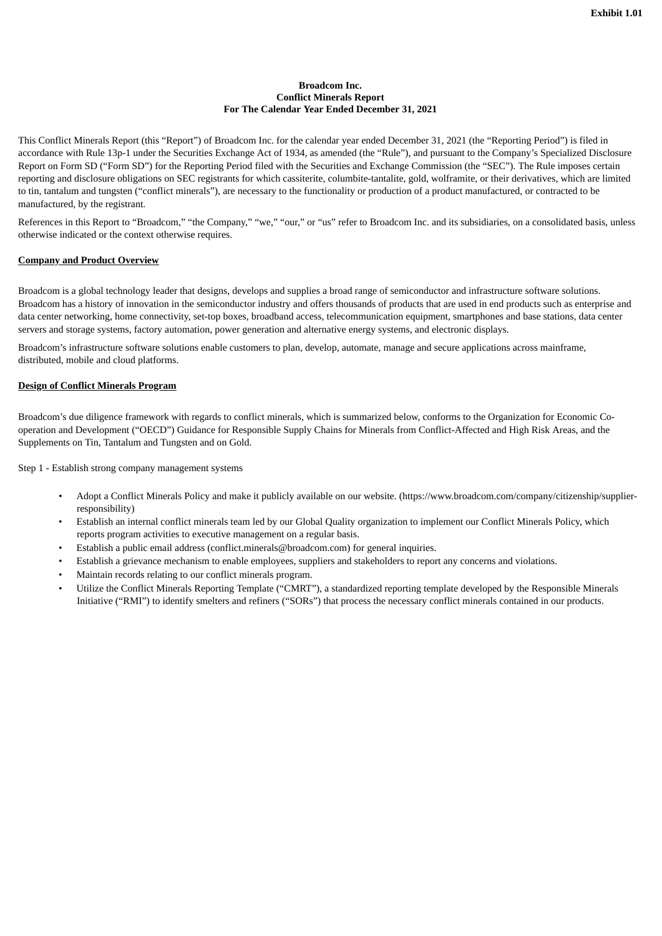#### **Broadcom Inc. Conflict Minerals Report For The Calendar Year Ended December 31, 2021**

<span id="page-3-0"></span>This Conflict Minerals Report (this "Report") of Broadcom Inc. for the calendar year ended December 31, 2021 (the "Reporting Period") is filed in accordance with Rule 13p-1 under the Securities Exchange Act of 1934, as amended (the "Rule"), and pursuant to the Company's Specialized Disclosure Report on Form SD ("Form SD") for the Reporting Period filed with the Securities and Exchange Commission (the "SEC"). The Rule imposes certain reporting and disclosure obligations on SEC registrants for which cassiterite, columbite-tantalite, gold, wolframite, or their derivatives, which are limited to tin, tantalum and tungsten ("conflict minerals"), are necessary to the functionality or production of a product manufactured, or contracted to be manufactured, by the registrant.

References in this Report to "Broadcom," "the Company," "we," "our," or "us" refer to Broadcom Inc. and its subsidiaries, on a consolidated basis, unless otherwise indicated or the context otherwise requires.

# **Company and Product Overview**

Broadcom is a global technology leader that designs, develops and supplies a broad range of semiconductor and infrastructure software solutions. Broadcom has a history of innovation in the semiconductor industry and offers thousands of products that are used in end products such as enterprise and data center networking, home connectivity, set-top boxes, broadband access, telecommunication equipment, smartphones and base stations, data center servers and storage systems, factory automation, power generation and alternative energy systems, and electronic displays.

Broadcom's infrastructure software solutions enable customers to plan, develop, automate, manage and secure applications across mainframe, distributed, mobile and cloud platforms.

#### **Design of Conflict Minerals Program**

Broadcom's due diligence framework with regards to conflict minerals, which is summarized below, conforms to the Organization for Economic Cooperation and Development ("OECD") Guidance for Responsible Supply Chains for Minerals from Conflict-Affected and High Risk Areas, and the Supplements on Tin, Tantalum and Tungsten and on Gold.

Step 1 - Establish strong company management systems

- Adopt a Conflict Minerals Policy and make it publicly available on our website. (https://www.broadcom.com/company/citizenship/supplierresponsibility)
- Establish an internal conflict minerals team led by our Global Quality organization to implement our Conflict Minerals Policy, which reports program activities to executive management on a regular basis.
- Establish a public email address (conflict.minerals@broadcom.com) for general inquiries.
- Establish a grievance mechanism to enable employees, suppliers and stakeholders to report any concerns and violations.
- Maintain records relating to our conflict minerals program.
- Utilize the Conflict Minerals Reporting Template ("CMRT"), a standardized reporting template developed by the Responsible Minerals Initiative ("RMI") to identify smelters and refiners ("SORs") that process the necessary conflict minerals contained in our products.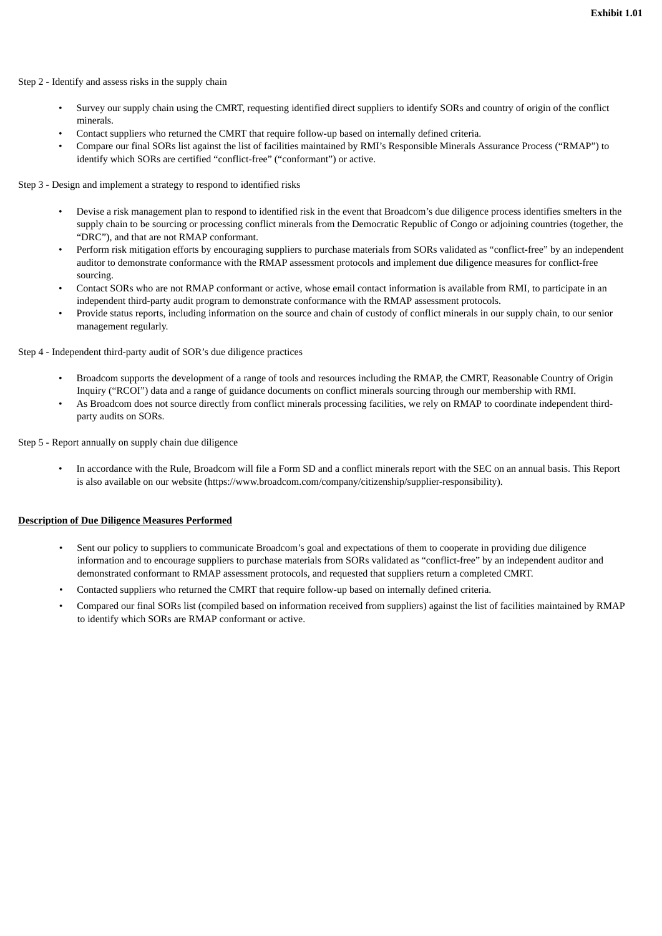Step 2 - Identify and assess risks in the supply chain

- Survey our supply chain using the CMRT, requesting identified direct suppliers to identify SORs and country of origin of the conflict minerals.
- Contact suppliers who returned the CMRT that require follow-up based on internally defined criteria.
- Compare our final SORs list against the list of facilities maintained by RMI's Responsible Minerals Assurance Process ("RMAP") to identify which SORs are certified "conflict-free" ("conformant") or active.

Step 3 - Design and implement a strategy to respond to identified risks

- Devise a risk management plan to respond to identified risk in the event that Broadcom's due diligence process identifies smelters in the supply chain to be sourcing or processing conflict minerals from the Democratic Republic of Congo or adjoining countries (together, the "DRC"), and that are not RMAP conformant.
- Perform risk mitigation efforts by encouraging suppliers to purchase materials from SORs validated as "conflict-free" by an independent auditor to demonstrate conformance with the RMAP assessment protocols and implement due diligence measures for conflict-free sourcing.
- Contact SORs who are not RMAP conformant or active, whose email contact information is available from RMI, to participate in an independent third-party audit program to demonstrate conformance with the RMAP assessment protocols.
- Provide status reports, including information on the source and chain of custody of conflict minerals in our supply chain, to our senior management regularly.

Step 4 - Independent third-party audit of SOR's due diligence practices

- Broadcom supports the development of a range of tools and resources including the RMAP, the CMRT, Reasonable Country of Origin Inquiry ("RCOI") data and a range of guidance documents on conflict minerals sourcing through our membership with RMI.
- As Broadcom does not source directly from conflict minerals processing facilities, we rely on RMAP to coordinate independent thirdparty audits on SORs.

Step 5 - Report annually on supply chain due diligence

• In accordance with the Rule, Broadcom will file a Form SD and a conflict minerals report with the SEC on an annual basis. This Report is also available on our website (https://www.broadcom.com/company/citizenship/supplier-responsibility).

#### **Description of Due Diligence Measures Performed**

- Sent our policy to suppliers to communicate Broadcom's goal and expectations of them to cooperate in providing due diligence information and to encourage suppliers to purchase materials from SORs validated as "conflict-free" by an independent auditor and demonstrated conformant to RMAP assessment protocols, and requested that suppliers return a completed CMRT.
- Contacted suppliers who returned the CMRT that require follow-up based on internally defined criteria.
- Compared our final SORs list (compiled based on information received from suppliers) against the list of facilities maintained by RMAP to identify which SORs are RMAP conformant or active.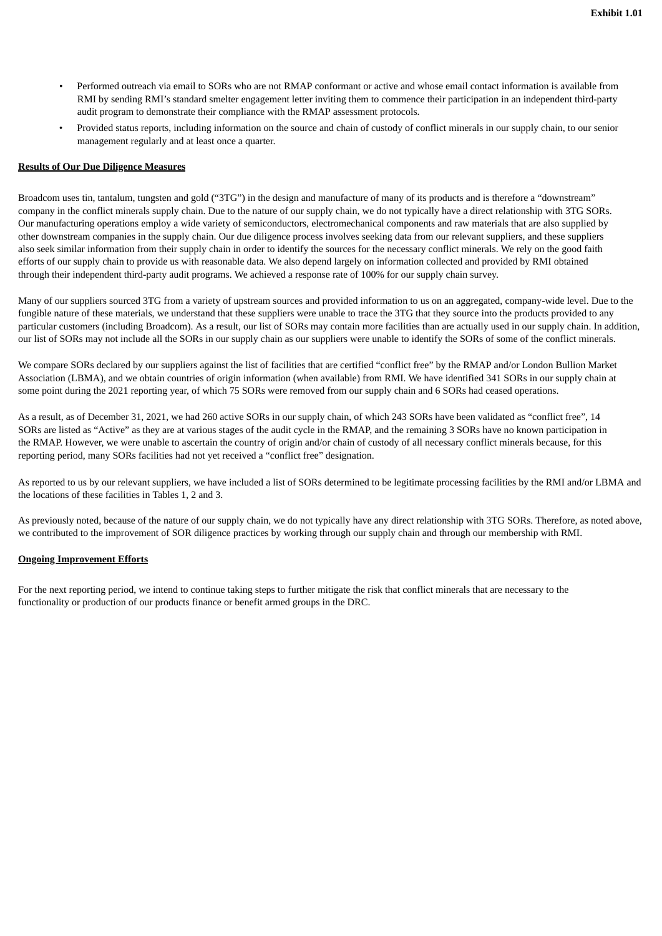- Performed outreach via email to SORs who are not RMAP conformant or active and whose email contact information is available from RMI by sending RMI's standard smelter engagement letter inviting them to commence their participation in an independent third-party audit program to demonstrate their compliance with the RMAP assessment protocols.
- Provided status reports, including information on the source and chain of custody of conflict minerals in our supply chain, to our senior management regularly and at least once a quarter.

#### **Results of Our Due Diligence Measures**

Broadcom uses tin, tantalum, tungsten and gold ("3TG") in the design and manufacture of many of its products and is therefore a "downstream" company in the conflict minerals supply chain. Due to the nature of our supply chain, we do not typically have a direct relationship with 3TG SORs. Our manufacturing operations employ a wide variety of semiconductors, electromechanical components and raw materials that are also supplied by other downstream companies in the supply chain. Our due diligence process involves seeking data from our relevant suppliers, and these suppliers also seek similar information from their supply chain in order to identify the sources for the necessary conflict minerals. We rely on the good faith efforts of our supply chain to provide us with reasonable data. We also depend largely on information collected and provided by RMI obtained through their independent third-party audit programs. We achieved a response rate of 100% for our supply chain survey.

Many of our suppliers sourced 3TG from a variety of upstream sources and provided information to us on an aggregated, company-wide level. Due to the fungible nature of these materials, we understand that these suppliers were unable to trace the 3TG that they source into the products provided to any particular customers (including Broadcom). As a result, our list of SORs may contain more facilities than are actually used in our supply chain. In addition, our list of SORs may not include all the SORs in our supply chain as our suppliers were unable to identify the SORs of some of the conflict minerals.

We compare SORs declared by our suppliers against the list of facilities that are certified "conflict free" by the RMAP and/or London Bullion Market Association (LBMA), and we obtain countries of origin information (when available) from RMI. We have identified 341 SORs in our supply chain at some point during the 2021 reporting year, of which 75 SORs were removed from our supply chain and 6 SORs had ceased operations.

As a result, as of December 31, 2021, we had 260 active SORs in our supply chain, of which 243 SORs have been validated as "conflict free", 14 SORs are listed as "Active" as they are at various stages of the audit cycle in the RMAP, and the remaining 3 SORs have no known participation in the RMAP. However, we were unable to ascertain the country of origin and/or chain of custody of all necessary conflict minerals because, for this reporting period, many SORs facilities had not yet received a "conflict free" designation.

As reported to us by our relevant suppliers, we have included a list of SORs determined to be legitimate processing facilities by the RMI and/or LBMA and the locations of these facilities in Tables 1, 2 and 3.

As previously noted, because of the nature of our supply chain, we do not typically have any direct relationship with 3TG SORs. Therefore, as noted above, we contributed to the improvement of SOR diligence practices by working through our supply chain and through our membership with RMI.

#### **Ongoing Improvement Efforts**

For the next reporting period, we intend to continue taking steps to further mitigate the risk that conflict minerals that are necessary to the functionality or production of our products finance or benefit armed groups in the DRC.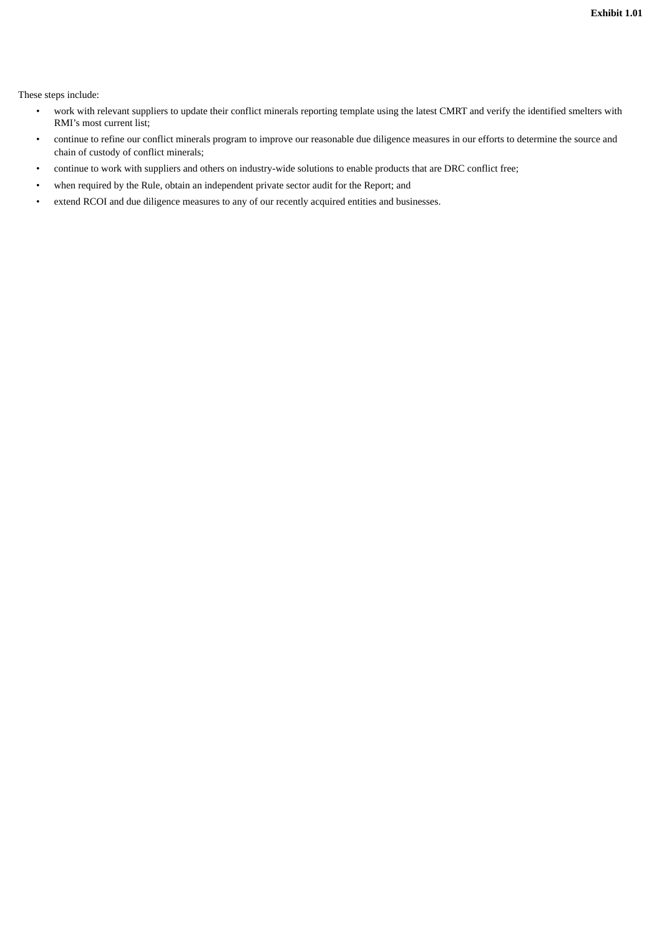**Exhibit 1.01**

These steps include:

- work with relevant suppliers to update their conflict minerals reporting template using the latest CMRT and verify the identified smelters with RMI's most current list;
- continue to refine our conflict minerals program to improve our reasonable due diligence measures in our efforts to determine the source and chain of custody of conflict minerals;
- continue to work with suppliers and others on industry-wide solutions to enable products that are DRC conflict free;
- when required by the Rule, obtain an independent private sector audit for the Report; and
- extend RCOI and due diligence measures to any of our recently acquired entities and businesses.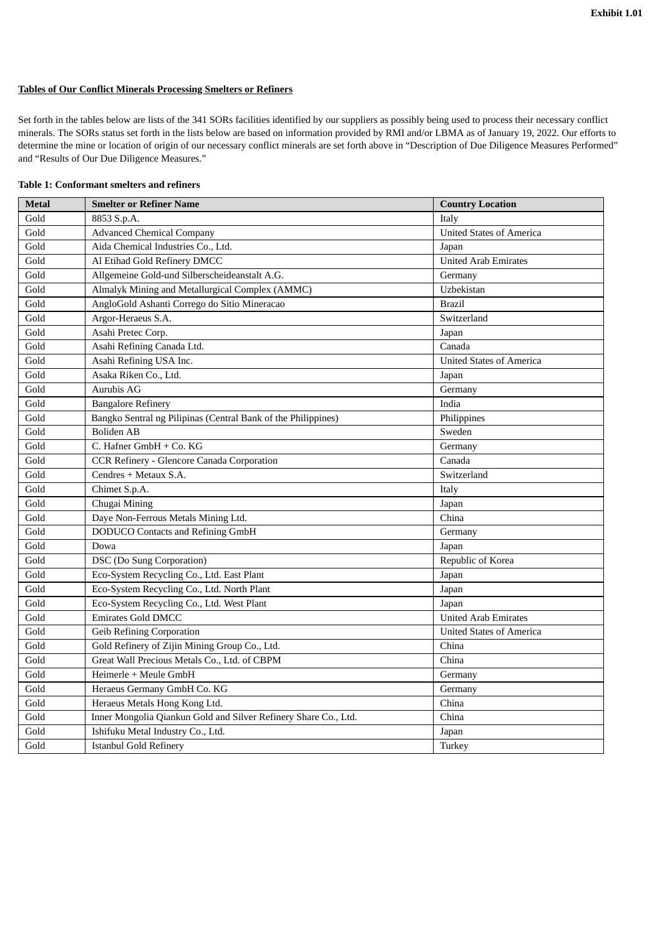# **Tables of Our Conflict Minerals Processing Smelters or Refiners**

Set forth in the tables below are lists of the 341 SORs facilities identified by our suppliers as possibly being used to process their necessary conflict minerals. The SORs status set forth in the lists below are based on information provided by RMI and/or LBMA as of January 19, 2022. Our efforts to determine the mine or location of origin of our necessary conflict minerals are set forth above in "Description of Due Diligence Measures Performed" and "Results of Our Due Diligence Measures."

| <b>Metal</b> | <b>Smelter or Refiner Name</b>                                  | <b>Country Location</b>         |
|--------------|-----------------------------------------------------------------|---------------------------------|
| Gold         | 8853 S.p.A.                                                     | Italy                           |
| Gold         | <b>Advanced Chemical Company</b>                                | United States of America        |
| Gold         | Aida Chemical Industries Co., Ltd.                              | Japan                           |
| Gold         | Al Etihad Gold Refinery DMCC                                    | <b>United Arab Emirates</b>     |
| Gold         | Allgemeine Gold-und Silberscheideanstalt A.G.                   | Germany                         |
| Gold         | Almalyk Mining and Metallurgical Complex (AMMC)                 | Uzbekistan                      |
| Gold         | AngloGold Ashanti Corrego do Sitio Mineracao                    | <b>Brazil</b>                   |
| Gold         | Argor-Heraeus S.A.                                              | Switzerland                     |
| Gold         | Asahi Pretec Corp.                                              | Japan                           |
| Gold         | Asahi Refining Canada Ltd.                                      | Canada                          |
| Gold         | Asahi Refining USA Inc.                                         | <b>United States of America</b> |
| Gold         | Asaka Riken Co., Ltd.                                           | Japan                           |
| Gold         | Aurubis AG                                                      | Germany                         |
| Gold         | <b>Bangalore Refinery</b>                                       | India                           |
| Gold         | Bangko Sentral ng Pilipinas (Central Bank of the Philippines)   | Philippines                     |
| Gold         | <b>Boliden AB</b>                                               | Sweden                          |
| Gold         | C. Hafner GmbH + Co. KG                                         | Germany                         |
| Gold         | CCR Refinery - Glencore Canada Corporation                      | Canada                          |
| Gold         | Cendres + Metaux S.A.                                           | Switzerland                     |
| Gold         | Chimet S.p.A.                                                   | Italy                           |
| Gold         | Chugai Mining                                                   | Japan                           |
| Gold         | Daye Non-Ferrous Metals Mining Ltd.                             | China                           |
| Gold         | <b>DODUCO</b> Contacts and Refining GmbH                        | Germany                         |
| Gold         | Dowa                                                            | Japan                           |
| Gold         | <b>DSC</b> (Do Sung Corporation)                                | Republic of Korea               |
| Gold         | Eco-System Recycling Co., Ltd. East Plant                       | Japan                           |
| Gold         | Eco-System Recycling Co., Ltd. North Plant                      | Japan                           |
| Gold         | Eco-System Recycling Co., Ltd. West Plant                       | Japan                           |
| Gold         | <b>Emirates Gold DMCC</b>                                       | <b>United Arab Emirates</b>     |
| Gold         | Geib Refining Corporation                                       | <b>United States of America</b> |
| Gold         | Gold Refinery of Zijin Mining Group Co., Ltd.                   | China                           |
| Gold         | Great Wall Precious Metals Co., Ltd. of CBPM                    | China                           |
| Gold         | Heimerle + Meule GmbH                                           | Germany                         |
| Gold         | Heraeus Germany GmbH Co. KG                                     | Germany                         |
| Gold         | Heraeus Metals Hong Kong Ltd.                                   | China                           |
| Gold         | Inner Mongolia Qiankun Gold and Silver Refinery Share Co., Ltd. | China                           |
| Gold         | Ishifuku Metal Industry Co., Ltd.                               | Japan                           |
| Gold         | Istanbul Gold Refinery                                          | Turkey                          |

#### **Table 1: Conformant smelters and refiners**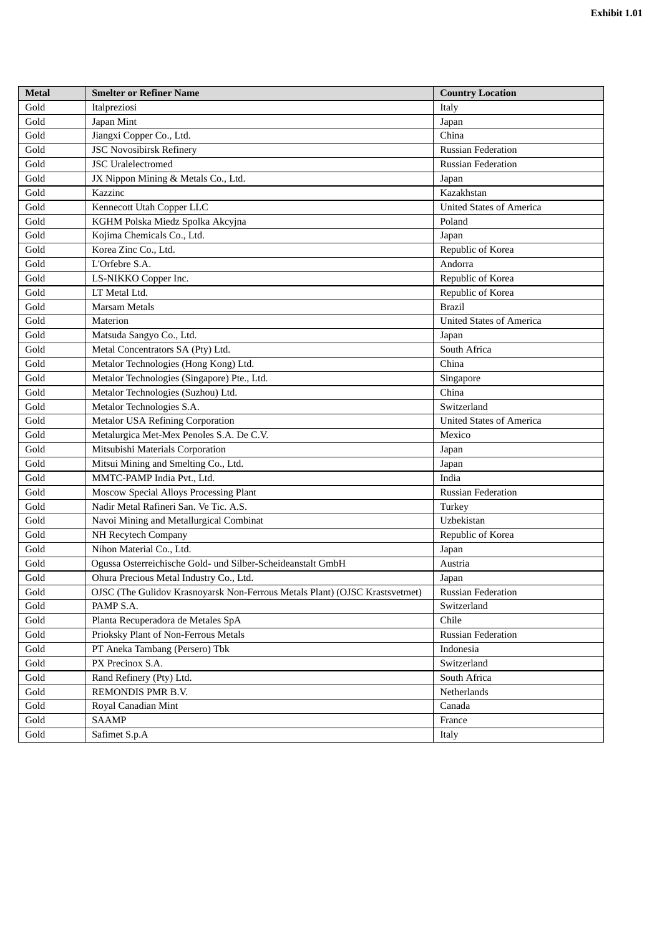| <b>Metal</b>          | <b>Smelter or Refiner Name</b>                                              | <b>Country Location</b>         |
|-----------------------|-----------------------------------------------------------------------------|---------------------------------|
| Gold                  | Italpreziosi                                                                | Italy                           |
| Gold                  | Japan Mint                                                                  | Japan                           |
| Gold                  | Jiangxi Copper Co., Ltd.                                                    | China                           |
| Gold                  | <b>JSC Novosibirsk Refinery</b>                                             | <b>Russian Federation</b>       |
| Gold                  | <b>JSC</b> Uralelectromed                                                   | <b>Russian Federation</b>       |
| Gold                  | JX Nippon Mining & Metals Co., Ltd.                                         | Japan                           |
| Gold                  | Kazzinc                                                                     | Kazakhstan                      |
| Gold                  | Kennecott Utah Copper LLC                                                   | <b>United States of America</b> |
| Gold                  | KGHM Polska Miedz Spolka Akcyjna                                            | Poland                          |
| Gold                  | Kojima Chemicals Co., Ltd.                                                  | Japan                           |
| Gold                  | Korea Zinc Co., Ltd.                                                        | Republic of Korea               |
| Gold                  | L'Orfebre S.A.                                                              | Andorra                         |
| Gold                  | LS-NIKKO Copper Inc.                                                        | Republic of Korea               |
| Gold                  | LT Metal Ltd.                                                               | Republic of Korea               |
| Gold                  | <b>Marsam Metals</b>                                                        | <b>Brazil</b>                   |
| Gold                  | Materion                                                                    | <b>United States of America</b> |
| Gold                  | Matsuda Sangyo Co., Ltd.                                                    | Japan                           |
| Gold                  | Metal Concentrators SA (Pty) Ltd.                                           | South Africa                    |
| Gold                  | Metalor Technologies (Hong Kong) Ltd.                                       | China                           |
| Gold                  | Metalor Technologies (Singapore) Pte., Ltd.                                 | Singapore                       |
| Gold                  | Metalor Technologies (Suzhou) Ltd.                                          | China                           |
| Gold                  | Metalor Technologies S.A.                                                   | Switzerland                     |
| Gold                  | <b>Metalor USA Refining Corporation</b>                                     | <b>United States of America</b> |
| Gold                  | Metalurgica Met-Mex Penoles S.A. De C.V.                                    | Mexico                          |
| Gold                  | Mitsubishi Materials Corporation                                            | Japan                           |
| Gold                  | Mitsui Mining and Smelting Co., Ltd.                                        | Japan                           |
| Gold                  | MMTC-PAMP India Pvt., Ltd.                                                  | India                           |
| Gold                  | Moscow Special Alloys Processing Plant                                      | <b>Russian Federation</b>       |
| Gold                  | Nadir Metal Rafineri San. Ve Tic. A.S.                                      | Turkey                          |
| Gold                  | Navoi Mining and Metallurgical Combinat                                     | Uzbekistan                      |
| Gold                  | NH Recytech Company                                                         | Republic of Korea               |
| Gold                  | Nihon Material Co., Ltd.                                                    | Japan                           |
| Gold                  | Ogussa Osterreichische Gold- und Silber-Scheideanstalt GmbH                 | Austria                         |
| $\operatorname{Gold}$ | Ohura Precious Metal Industry Co., Ltd.                                     | Japan                           |
| Gold                  | OJSC (The Gulidov Krasnoyarsk Non-Ferrous Metals Plant) (OJSC Krastsvetmet) | <b>Russian Federation</b>       |
| Gold                  | PAMP S.A.                                                                   | Switzerland                     |
| Gold                  | Planta Recuperadora de Metales SpA                                          | Chile                           |
| Gold                  | Prioksky Plant of Non-Ferrous Metals                                        | <b>Russian Federation</b>       |
| Gold                  | PT Aneka Tambang (Persero) Tbk                                              | Indonesia                       |
| Gold                  | PX Precinox S.A.                                                            | Switzerland                     |
| Gold                  | Rand Refinery (Pty) Ltd.                                                    | South Africa                    |
| Gold                  | REMONDIS PMR B.V.                                                           | Netherlands                     |
| Gold                  | Royal Canadian Mint                                                         | Canada                          |
| Gold                  | <b>SAAMP</b>                                                                | France                          |
| Gold                  | Safimet S.p.A                                                               | Italy                           |
|                       |                                                                             |                                 |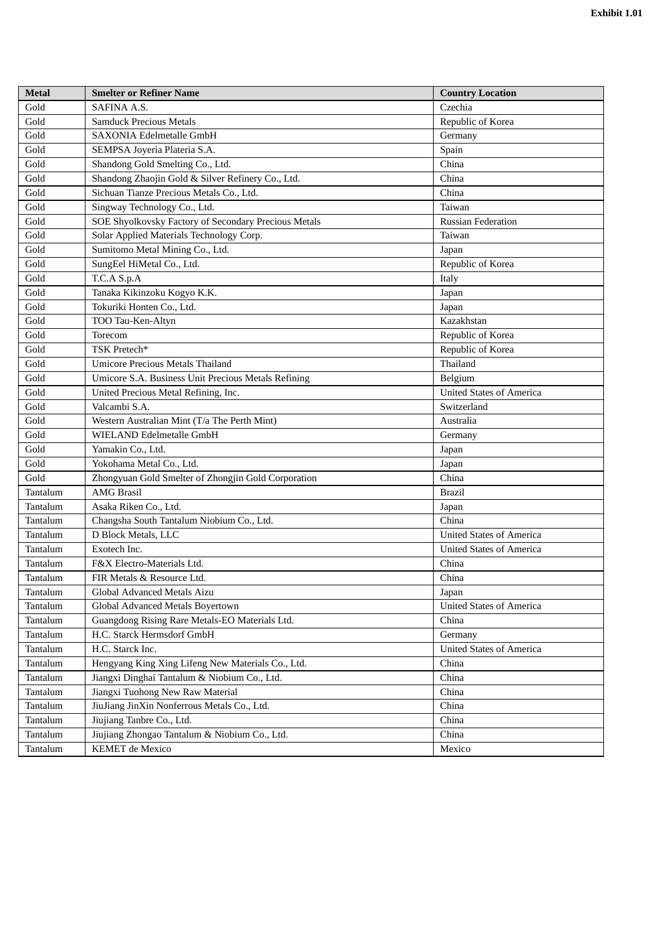| <b>Metal</b> | <b>Smelter or Refiner Name</b>                       | <b>Country Location</b>         |
|--------------|------------------------------------------------------|---------------------------------|
| Gold         | SAFINA A.S.                                          | Czechia                         |
| Gold         | <b>Samduck Precious Metals</b>                       | Republic of Korea               |
| Gold         | SAXONIA Edelmetalle GmbH                             | Germany                         |
| Gold         | SEMPSA Joyeria Plateria S.A.                         | Spain                           |
| Gold         | Shandong Gold Smelting Co., Ltd.                     | China                           |
| Gold         | Shandong Zhaojin Gold & Silver Refinery Co., Ltd.    | China                           |
| Gold         | Sichuan Tianze Precious Metals Co., Ltd.             | China                           |
| Gold         | Singway Technology Co., Ltd.                         | Taiwan                          |
| Gold         | SOE Shyolkovsky Factory of Secondary Precious Metals | <b>Russian Federation</b>       |
| Gold         | Solar Applied Materials Technology Corp.             | Taiwan                          |
| Gold         | Sumitomo Metal Mining Co., Ltd.                      | Japan                           |
| Gold         | SungEel HiMetal Co., Ltd.                            | Republic of Korea               |
| Gold         | T.C.A S.p.A                                          | Italy                           |
| Gold         | Tanaka Kikinzoku Kogyo K.K.                          | Japan                           |
| Gold         | Tokuriki Honten Co., Ltd.                            | Japan                           |
| Gold         | TOO Tau-Ken-Altyn                                    | Kazakhstan                      |
| Gold         | Torecom                                              | Republic of Korea               |
| Gold         | TSK Pretech*                                         | Republic of Korea               |
| Gold         | <b>Umicore Precious Metals Thailand</b>              | Thailand                        |
| Gold         | Umicore S.A. Business Unit Precious Metals Refining  | Belgium                         |
| Gold         | United Precious Metal Refining, Inc.                 | <b>United States of America</b> |
| Gold         | Valcambi S.A.                                        | Switzerland                     |
| Gold         | Western Australian Mint (T/a The Perth Mint)         | Australia                       |
| Gold         | WIELAND Edelmetalle GmbH                             | Germany                         |
| Gold         | Yamakin Co., Ltd.                                    | Japan                           |
| Gold         | Yokohama Metal Co., Ltd.                             | Japan                           |
| Gold         | Zhongyuan Gold Smelter of Zhongjin Gold Corporation  | China                           |
| Tantalum     | <b>AMG Brasil</b>                                    | <b>Brazil</b>                   |
| Tantalum     | Asaka Riken Co., Ltd.                                | Japan                           |
| Tantalum     | Changsha South Tantalum Niobium Co., Ltd.            | China                           |
| Tantalum     | D Block Metals, LLC                                  | <b>United States of America</b> |
| Tantalum     | Exotech Inc.                                         | <b>United States of America</b> |
| Tantalum     | F&X Electro-Materials Ltd.                           | China                           |
| Tantalum     | FIR Metals & Resource Ltd.                           | China                           |
| Tantalum     | Global Advanced Metals Aizu                          | Japan                           |
| Tantalum     | Global Advanced Metals Boyertown                     | <b>United States of America</b> |
| Tantalum     | Guangdong Rising Rare Metals-EO Materials Ltd.       | China                           |
| Tantalum     | H.C. Starck Hermsdorf GmbH                           | Germany                         |
| Tantalum     | H.C. Starck Inc.                                     | <b>United States of America</b> |
| Tantalum     | Hengyang King Xing Lifeng New Materials Co., Ltd.    | China                           |
| Tantalum     | Jiangxi Dinghai Tantalum & Niobium Co., Ltd.         | China                           |
| Tantalum     | Jiangxi Tuohong New Raw Material                     | China                           |
| Tantalum     | JiuJiang JinXin Nonferrous Metals Co., Ltd.          | China                           |
| Tantalum     | Jiujiang Tanbre Co., Ltd.                            | China                           |
| Tantalum     | Jiujiang Zhongao Tantalum & Niobium Co., Ltd.        | China                           |
| Tantalum     | <b>KEMET</b> de Mexico                               | Mexico                          |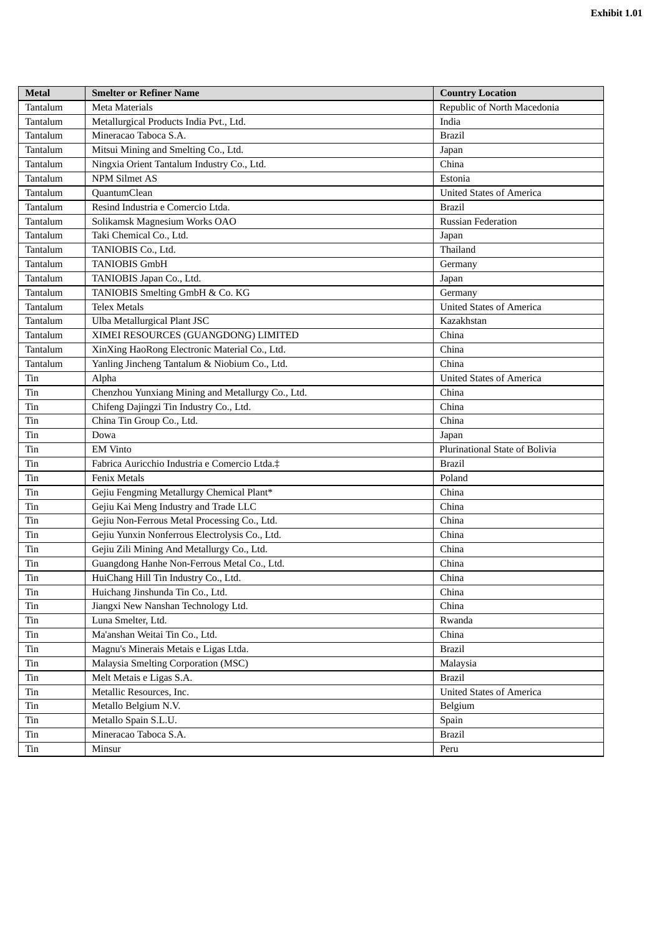| <b>Metal</b> | <b>Smelter or Refiner Name</b>                    | <b>Country Location</b>         |
|--------------|---------------------------------------------------|---------------------------------|
| Tantalum     | Meta Materials                                    | Republic of North Macedonia     |
| Tantalum     | Metallurgical Products India Pvt., Ltd.           | India                           |
| Tantalum     | Mineracao Taboca S.A.                             | <b>Brazil</b>                   |
| Tantalum     | Mitsui Mining and Smelting Co., Ltd.              | Japan                           |
| Tantalum     | Ningxia Orient Tantalum Industry Co., Ltd.        | China                           |
| Tantalum     | NPM Silmet AS                                     | Estonia                         |
| Tantalum     | QuantumClean                                      | <b>United States of America</b> |
| Tantalum     | Resind Industria e Comercio Ltda.                 | <b>Brazil</b>                   |
| Tantalum     | Solikamsk Magnesium Works OAO                     | <b>Russian Federation</b>       |
| Tantalum     | Taki Chemical Co., Ltd.                           | Japan                           |
| Tantalum     | TANIOBIS Co., Ltd.                                | Thailand                        |
| Tantalum     | <b>TANIOBIS GmbH</b>                              | Germany                         |
| Tantalum     | TANIOBIS Japan Co., Ltd.                          | Japan                           |
| Tantalum     | TANIOBIS Smelting GmbH & Co. KG                   | Germany                         |
| Tantalum     | <b>Telex Metals</b>                               | <b>United States of America</b> |
| Tantalum     | Ulba Metallurgical Plant JSC                      | Kazakhstan                      |
| Tantalum     | XIMEI RESOURCES (GUANGDONG) LIMITED               | China                           |
| Tantalum     | XinXing HaoRong Electronic Material Co., Ltd.     | China                           |
| Tantalum     | Yanling Jincheng Tantalum & Niobium Co., Ltd.     | China                           |
| Tin          | Alpha                                             | <b>United States of America</b> |
| Tin          | Chenzhou Yunxiang Mining and Metallurgy Co., Ltd. | China                           |
| Tin          | Chifeng Dajingzi Tin Industry Co., Ltd.           | China                           |
| Tin          | China Tin Group Co., Ltd.                         | China                           |
| Tin          | Dowa                                              | Japan                           |
| Tin          | <b>EM Vinto</b>                                   | Plurinational State of Bolivia  |
| Tin          | Fabrica Auricchio Industria e Comercio Ltda.‡     | <b>Brazil</b>                   |
| Tin          | <b>Fenix Metals</b>                               | Poland                          |
| Tin          | Gejiu Fengming Metallurgy Chemical Plant*         | China                           |
| Tin          | Gejiu Kai Meng Industry and Trade LLC             | China                           |
| Tin          | Gejiu Non-Ferrous Metal Processing Co., Ltd.      | China                           |
| Tin          | Gejiu Yunxin Nonferrous Electrolysis Co., Ltd.    | China                           |
| Tin          | Gejiu Zili Mining And Metallurgy Co., Ltd.        | China                           |
| Tin          | Guangdong Hanhe Non-Ferrous Metal Co., Ltd.       | China                           |
| Tin          | HuiChang Hill Tin Industry Co., Ltd.              | China                           |
| Tin          | Huichang Jinshunda Tin Co., Ltd.                  | China                           |
| Tin          | Jiangxi New Nanshan Technology Ltd.               | China                           |
| Tin          | Luna Smelter, Ltd.                                | Rwanda                          |
| Tin          | Ma'anshan Weitai Tin Co., Ltd.                    | China                           |
| $\rm \,Tin$  | Magnu's Minerais Metais e Ligas Ltda.             | <b>Brazil</b>                   |
| Tin          | Malaysia Smelting Corporation (MSC)               | Malaysia                        |
| Tin          | Melt Metais e Ligas S.A.                          | <b>Brazil</b>                   |
| Tin          | Metallic Resources, Inc.                          | <b>United States of America</b> |
| Tin          | Metallo Belgium N.V.                              | Belgium                         |
| Tin          | Metallo Spain S.L.U.                              | Spain                           |
| Tin          | Mineracao Taboca S.A.                             | <b>Brazil</b>                   |
| Tin          | Minsur                                            | Peru                            |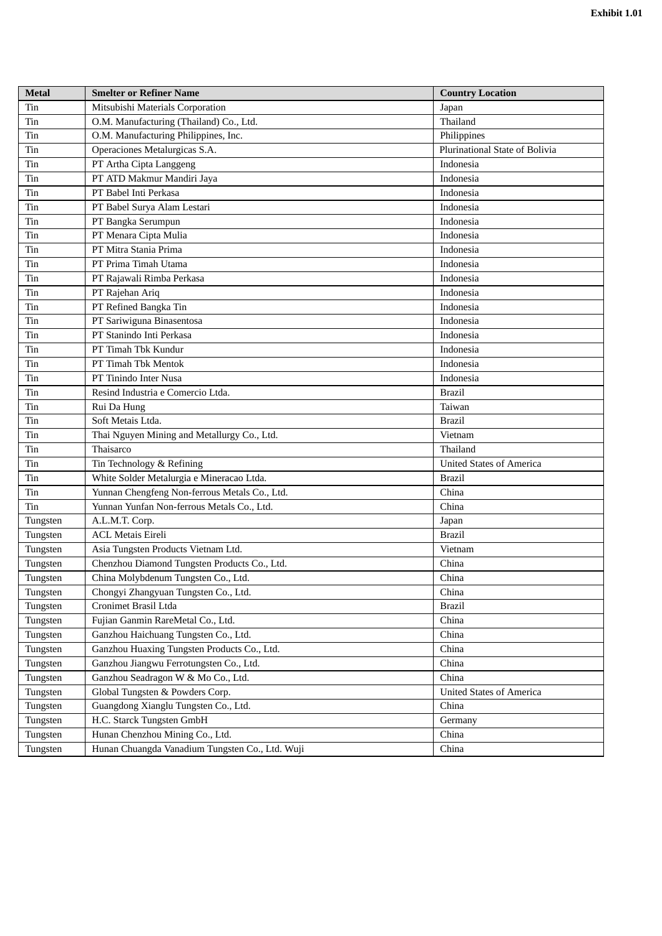| <b>Metal</b> | <b>Smelter or Refiner Name</b>                  | <b>Country Location</b>         |
|--------------|-------------------------------------------------|---------------------------------|
| Tin          | Mitsubishi Materials Corporation                | Japan                           |
| Tin          | O.M. Manufacturing (Thailand) Co., Ltd.         | Thailand                        |
| Tin          | O.M. Manufacturing Philippines, Inc.            | Philippines                     |
| Tin          | Operaciones Metalurgicas S.A.                   | Plurinational State of Bolivia  |
| Tin          | PT Artha Cipta Langgeng                         | Indonesia                       |
| Tin          | PT ATD Makmur Mandiri Jaya                      | Indonesia                       |
| Tin          | PT Babel Inti Perkasa                           | Indonesia                       |
| Tin          | PT Babel Surya Alam Lestari                     | Indonesia                       |
| Tin          | PT Bangka Serumpun                              | Indonesia                       |
| Tin          | PT Menara Cipta Mulia                           | Indonesia                       |
| Tin          | PT Mitra Stania Prima                           | Indonesia                       |
| Tin          | PT Prima Timah Utama                            | Indonesia                       |
| Tin          | PT Rajawali Rimba Perkasa                       | Indonesia                       |
| Tin          | PT Rajehan Ariq                                 | Indonesia                       |
| Tin          | PT Refined Bangka Tin                           | Indonesia                       |
| Tin          | PT Sariwiguna Binasentosa                       | Indonesia                       |
| Tin          | PT Stanindo Inti Perkasa                        | Indonesia                       |
| Tin          | PT Timah Tbk Kundur                             | Indonesia                       |
| Tin          | PT Timah Tbk Mentok                             | Indonesia                       |
| Tin          | PT Tinindo Inter Nusa                           | Indonesia                       |
| Tin          | Resind Industria e Comercio Ltda.               | <b>Brazil</b>                   |
| Tin          | Rui Da Hung                                     | Taiwan                          |
| Tin          | Soft Metais Ltda.                               | <b>Brazil</b>                   |
| Tin          | Thai Nguyen Mining and Metallurgy Co., Ltd.     | Vietnam                         |
| Tin          | Thaisarco                                       | Thailand                        |
| Tin          | Tin Technology & Refining                       | <b>United States of America</b> |
| Tin          | White Solder Metalurgia e Mineracao Ltda.       | <b>Brazil</b>                   |
| Tin          | Yunnan Chengfeng Non-ferrous Metals Co., Ltd.   | China                           |
| Tin          | Yunnan Yunfan Non-ferrous Metals Co., Ltd.      | China                           |
| Tungsten     | A.L.M.T. Corp.                                  | Japan                           |
| Tungsten     | <b>ACL Metais Eireli</b>                        | <b>Brazil</b>                   |
| Tungsten     | Asia Tungsten Products Vietnam Ltd.             | Vietnam                         |
| Tungsten     | Chenzhou Diamond Tungsten Products Co., Ltd.    | China                           |
| Tungsten     | China Molybdenum Tungsten Co., Ltd.             | China                           |
| Tungsten     | Chongyi Zhangyuan Tungsten Co., Ltd.            | China                           |
| Tungsten     | Cronimet Brasil Ltda                            | <b>Brazil</b>                   |
| Tungsten     | Fujian Ganmin RareMetal Co., Ltd.               | China                           |
| Tungsten     | Ganzhou Haichuang Tungsten Co., Ltd.            | China                           |
| Tungsten     | Ganzhou Huaxing Tungsten Products Co., Ltd.     | China                           |
| Tungsten     | Ganzhou Jiangwu Ferrotungsten Co., Ltd.         | China                           |
| Tungsten     | Ganzhou Seadragon W & Mo Co., Ltd.              | China                           |
| Tungsten     | Global Tungsten & Powders Corp.                 | <b>United States of America</b> |
| Tungsten     | Guangdong Xianglu Tungsten Co., Ltd.            | China                           |
| Tungsten     | H.C. Starck Tungsten GmbH                       | Germany                         |
| Tungsten     | Hunan Chenzhou Mining Co., Ltd.                 | China                           |
| Tungsten     | Hunan Chuangda Vanadium Tungsten Co., Ltd. Wuji | China                           |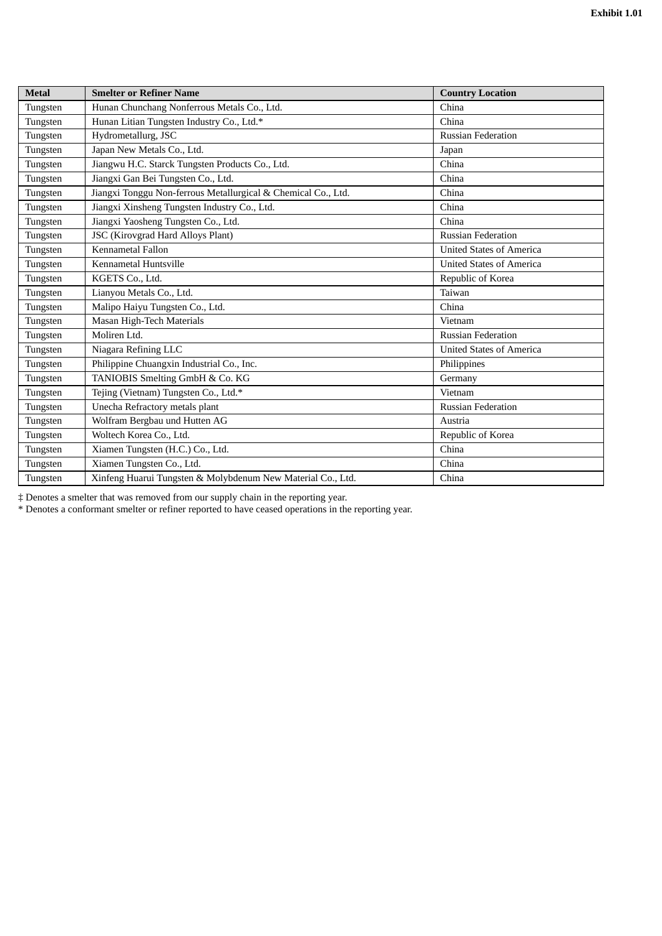| <b>Metal</b> | <b>Smelter or Refiner Name</b>                                | <b>Country Location</b>         |
|--------------|---------------------------------------------------------------|---------------------------------|
| Tungsten     | Hunan Chunchang Nonferrous Metals Co., Ltd.                   | China                           |
| Tungsten     | Hunan Litian Tungsten Industry Co., Ltd.*                     | China                           |
| Tungsten     | Hydrometallurg, JSC                                           | <b>Russian Federation</b>       |
| Tungsten     | Japan New Metals Co., Ltd.                                    | Japan                           |
| Tungsten     | Jiangwu H.C. Starck Tungsten Products Co., Ltd.               | China                           |
| Tungsten     | Jiangxi Gan Bei Tungsten Co., Ltd.                            | China                           |
| Tungsten     | Jiangxi Tonggu Non-ferrous Metallurgical & Chemical Co., Ltd. | China                           |
| Tungsten     | Jiangxi Xinsheng Tungsten Industry Co., Ltd.                  | China                           |
| Tungsten     | Jiangxi Yaosheng Tungsten Co., Ltd.                           | China                           |
| Tungsten     | <b>JSC</b> (Kirovgrad Hard Alloys Plant)                      | <b>Russian Federation</b>       |
| Tungsten     | Kennametal Fallon                                             | <b>United States of America</b> |
| Tungsten     | Kennametal Huntsville                                         | <b>United States of America</b> |
| Tungsten     | KGETS Co., Ltd.                                               | Republic of Korea               |
| Tungsten     | Lianyou Metals Co., Ltd.                                      | Taiwan                          |
| Tungsten     | Malipo Haiyu Tungsten Co., Ltd.                               | China                           |
| Tungsten     | Masan High-Tech Materials                                     | Vietnam                         |
| Tungsten     | Moliren Ltd.                                                  | <b>Russian Federation</b>       |
| Tungsten     | Niagara Refining LLC                                          | <b>United States of America</b> |
| Tungsten     | Philippine Chuangxin Industrial Co., Inc.                     | Philippines                     |
| Tungsten     | TANIOBIS Smelting GmbH & Co. KG                               | Germany                         |
| Tungsten     | Tejing (Vietnam) Tungsten Co., Ltd.*                          | Vietnam                         |
| Tungsten     | Unecha Refractory metals plant                                | <b>Russian Federation</b>       |
| Tungsten     | Wolfram Bergbau und Hutten AG                                 | Austria                         |
| Tungsten     | Woltech Korea Co., Ltd.                                       | Republic of Korea               |
| Tungsten     | Xiamen Tungsten (H.C.) Co., Ltd.                              | China                           |
| Tungsten     | Xiamen Tungsten Co., Ltd.                                     | China                           |
| Tungsten     | Xinfeng Huarui Tungsten & Molybdenum New Material Co., Ltd.   | China                           |

‡ Denotes a smelter that was removed from our supply chain in the reporting year.

\* Denotes a conformant smelter or refiner reported to have ceased operations in the reporting year.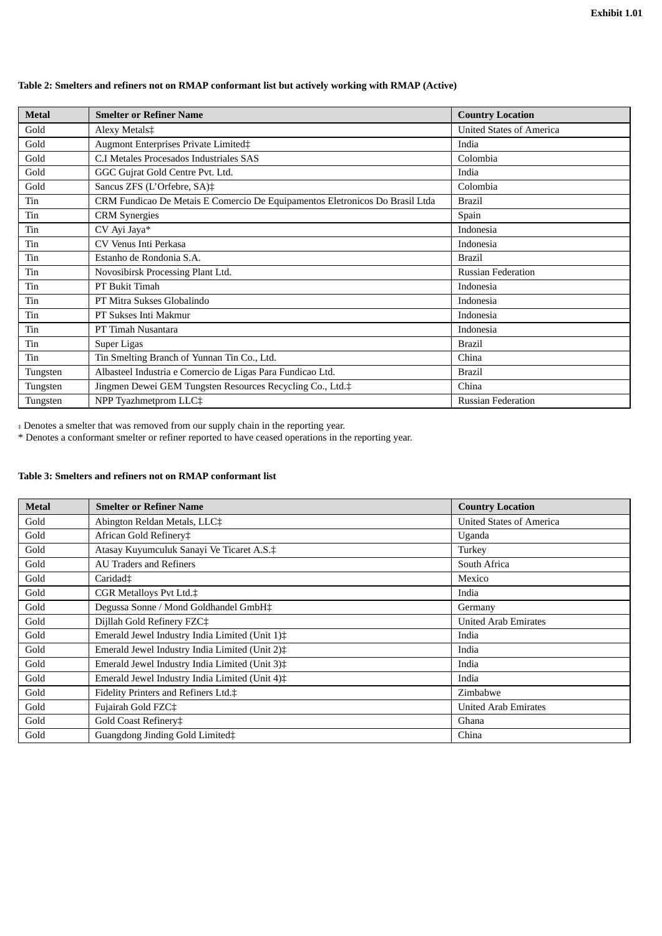# **Table 2: Smelters and refiners not on RMAP conformant list but actively working with RMAP (Active)**

| <b>Metal</b> | <b>Smelter or Refiner Name</b>                                               | <b>Country Location</b>         |
|--------------|------------------------------------------------------------------------------|---------------------------------|
| Gold         | Alexy Metals‡                                                                | <b>United States of America</b> |
| Gold         | Augmont Enterprises Private Limited‡                                         | India                           |
| Gold         | C.I Metales Procesados Industriales SAS                                      | Colombia                        |
| Gold         | GGC Gujrat Gold Centre Pvt. Ltd.                                             | India                           |
| Gold         | Sancus ZFS (L'Orfebre, SA)‡                                                  | Colombia                        |
| Tin          | CRM Fundicao De Metais E Comercio De Equipamentos Eletronicos Do Brasil Ltda | <b>Brazil</b>                   |
| Tin          | <b>CRM</b> Synergies                                                         | Spain                           |
| Tin          | CV Ayi Jaya*                                                                 | Indonesia                       |
| Tin          | CV Venus Inti Perkasa                                                        | Indonesia                       |
| Tin          | Estanho de Rondonia S.A.                                                     | <b>Brazil</b>                   |
| Tin          | Novosibirsk Processing Plant Ltd.                                            | <b>Russian Federation</b>       |
| Tin          | PT Bukit Timah                                                               | Indonesia                       |
| Tin          | PT Mitra Sukses Globalindo                                                   | Indonesia                       |
| Tin          | PT Sukses Inti Makmur                                                        | Indonesia                       |
| Tin          | PT Timah Nusantara                                                           | Indonesia                       |
| Tin          | Super Ligas                                                                  | <b>Brazil</b>                   |
| Tin          | Tin Smelting Branch of Yunnan Tin Co., Ltd.                                  | China                           |
| Tungsten     | Albasteel Industria e Comercio de Ligas Para Fundicao Ltd.                   | <b>Brazil</b>                   |
| Tungsten     | Jingmen Dewei GEM Tungsten Resources Recycling Co., Ltd.‡                    | China                           |
| Tungsten     | NPP Tyazhmetprom LLC‡                                                        | <b>Russian Federation</b>       |

‡ Denotes a smelter that was removed from our supply chain in the reporting year.

\* Denotes a conformant smelter or refiner reported to have ceased operations in the reporting year.

# **Table 3: Smelters and refiners not on RMAP conformant list**

| <b>Metal</b> | <b>Smelter or Refiner Name</b>                 | <b>Country Location</b>         |
|--------------|------------------------------------------------|---------------------------------|
| Gold         | Abington Reldan Metals, LLC‡                   | <b>United States of America</b> |
| Gold         | African Gold Refinery‡                         | Uganda                          |
| Gold         | Atasay Kuyumculuk Sanayi Ve Ticaret A.S.‡      | Turkey                          |
| Gold         | <b>AU Traders and Refiners</b>                 | South Africa                    |
| Gold         | Caridad <sup>‡</sup>                           | Mexico                          |
| Gold         | CGR Metalloys Pvt Ltd.‡                        | India                           |
| Gold         | Degussa Sonne / Mond Goldhandel GmbH‡          | Germany                         |
| Gold         | Dijllah Gold Refinery FZC‡                     | <b>United Arab Emirates</b>     |
| Gold         | Emerald Jewel Industry India Limited (Unit 1)‡ | India                           |
| Gold         | Emerald Jewel Industry India Limited (Unit 2)‡ | India                           |
| Gold         | Emerald Jewel Industry India Limited (Unit 3)‡ | India                           |
| Gold         | Emerald Jewel Industry India Limited (Unit 4)‡ | India                           |
| Gold         | Fidelity Printers and Refiners Ltd.‡           | Zimbabwe                        |
| Gold         | Fujairah Gold FZC‡                             | <b>United Arab Emirates</b>     |
| Gold         | Gold Coast Refinery‡                           | Ghana                           |
| Gold         | Guangdong Jinding Gold Limited‡                | China                           |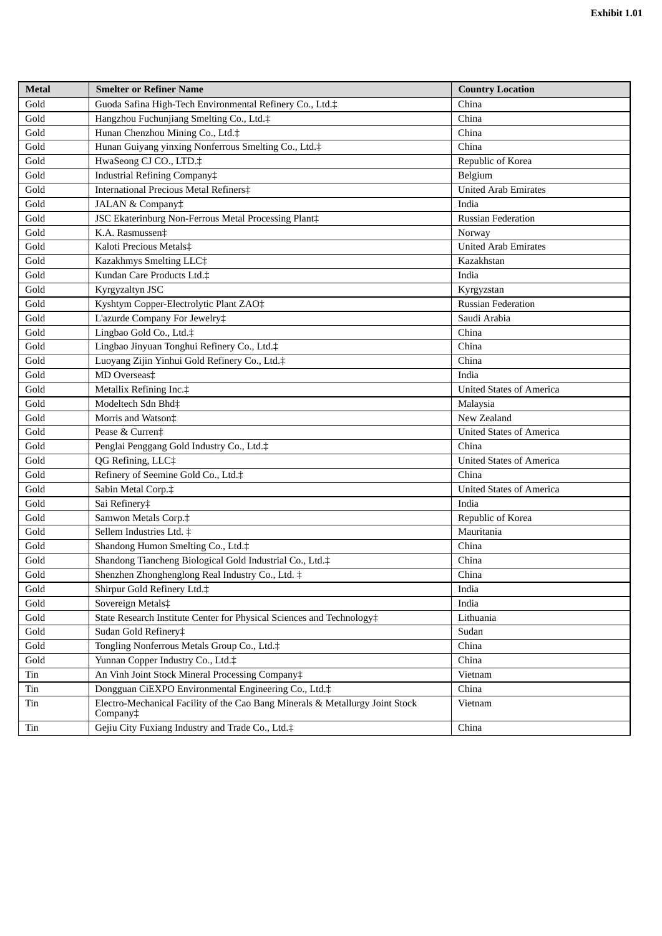| Metal | <b>Smelter or Refiner Name</b>                                                            | <b>Country Location</b>         |
|-------|-------------------------------------------------------------------------------------------|---------------------------------|
| Gold  | Guoda Safina High-Tech Environmental Refinery Co., Ltd.‡                                  | China                           |
| Gold  | Hangzhou Fuchunjiang Smelting Co., Ltd.‡                                                  | China                           |
| Gold  | Hunan Chenzhou Mining Co., Ltd.‡                                                          | China                           |
| Gold  | Hunan Guiyang yinxing Nonferrous Smelting Co., Ltd.‡                                      | China                           |
| Gold  | HwaSeong CJ CO., LTD.‡                                                                    | Republic of Korea               |
| Gold  | Industrial Refining Company‡                                                              | Belgium                         |
| Gold  | International Precious Metal Refiners‡                                                    | <b>United Arab Emirates</b>     |
| Gold  | JALAN & Company‡                                                                          | India                           |
| Gold  | JSC Ekaterinburg Non-Ferrous Metal Processing Plant‡                                      | <b>Russian Federation</b>       |
| Gold  | K.A. Rasmussen‡                                                                           | Norway                          |
| Gold  | Kaloti Precious Metals‡                                                                   | <b>United Arab Emirates</b>     |
| Gold  | Kazakhmys Smelting LLC‡                                                                   | Kazakhstan                      |
| Gold  | Kundan Care Products Ltd.‡                                                                | India                           |
| Gold  | Kyrgyzaltyn JSC                                                                           | Kyrgyzstan                      |
| Gold  | Kyshtym Copper-Electrolytic Plant ZAO‡                                                    | <b>Russian Federation</b>       |
| Gold  | L'azurde Company For Jewelry‡                                                             | Saudi Arabia                    |
| Gold  | Lingbao Gold Co., Ltd.‡                                                                   | China                           |
| Gold  | Lingbao Jinyuan Tonghui Refinery Co., Ltd.‡                                               | China                           |
| Gold  | Luoyang Zijin Yinhui Gold Refinery Co., Ltd.‡                                             | China                           |
| Gold  | MD Overseas‡                                                                              | India                           |
| Gold  | Metallix Refining Inc.‡                                                                   | <b>United States of America</b> |
| Gold  | Modeltech Sdn Bhd‡                                                                        | Malaysia                        |
| Gold  | Morris and Watson‡                                                                        | New Zealand                     |
| Gold  | Pease & Curren‡                                                                           | United States of America        |
| Gold  | Penglai Penggang Gold Industry Co., Ltd.‡                                                 | China                           |
| Gold  | QG Refining, LLC‡                                                                         | <b>United States of America</b> |
| Gold  | Refinery of Seemine Gold Co., Ltd.‡                                                       | China                           |
| Gold  | Sabin Metal Corp.‡                                                                        | <b>United States of America</b> |
| Gold  | Sai Refinery‡                                                                             | India                           |
| Gold  | Samwon Metals Corp.‡                                                                      | Republic of Korea               |
| Gold  | Sellem Industries Ltd. ‡                                                                  | Mauritania                      |
| Gold  | Shandong Humon Smelting Co., Ltd.‡                                                        | China                           |
| Gold  | Shandong Tiancheng Biological Gold Industrial Co., Ltd.‡                                  | China                           |
| Gold  | Shenzhen Zhonghenglong Real Industry Co., Ltd. ‡                                          | China                           |
| Gold  | Shirpur Gold Refinery Ltd.‡                                                               | India                           |
| Gold  | Sovereign Metals‡                                                                         | India                           |
| Gold  | State Research Institute Center for Physical Sciences and Technology#                     | Lithuania                       |
| Gold  | Sudan Gold Refinery‡                                                                      | Sudan                           |
| Gold  | Tongling Nonferrous Metals Group Co., Ltd.‡                                               | China                           |
| Gold  | Yunnan Copper Industry Co., Ltd.‡                                                         | China                           |
| Tin   | An Vinh Joint Stock Mineral Processing Company‡                                           | Vietnam                         |
| Tin   | Dongguan CiEXPO Environmental Engineering Co., Ltd.‡                                      | China                           |
| Tin   | Electro-Mechanical Facility of the Cao Bang Minerals & Metallurgy Joint Stock<br>Company‡ | Vietnam                         |
| Tin   | Gejiu City Fuxiang Industry and Trade Co., Ltd.‡                                          | China                           |